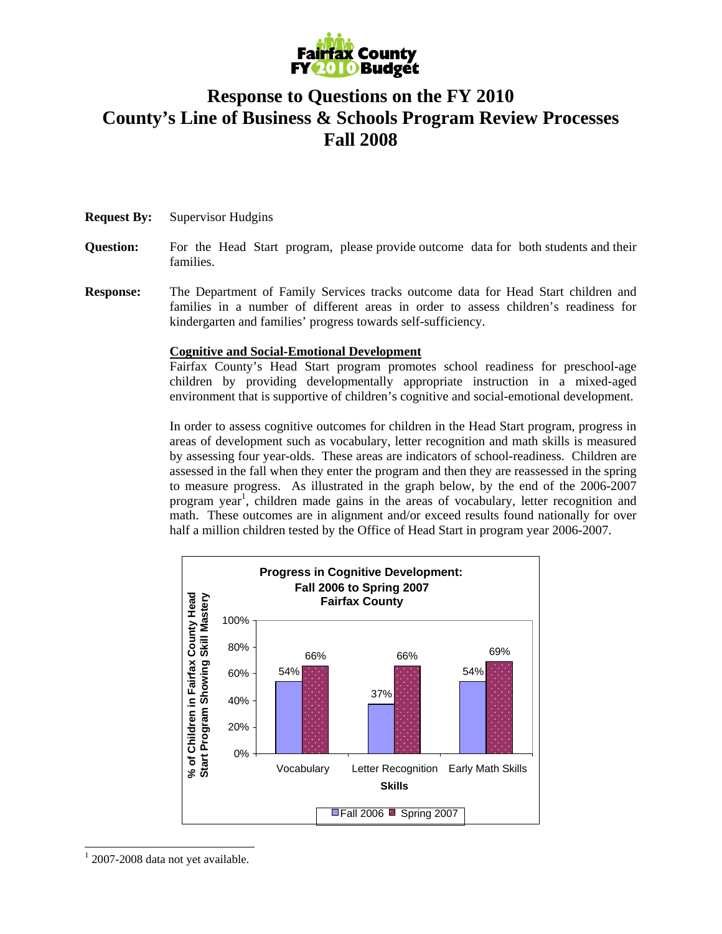

## **Response to Questions on the FY 2010 County's Line of Business & Schools Program Review Processes Fall 2008**

- **Request By:** Supervisor Hudgins
- **Question:** For the Head Start program, please provide outcome data for both students and their families.
- **Response:** The Department of Family Services tracks outcome data for Head Start children and families in a number of different areas in order to assess children's readiness for kindergarten and families' progress towards self-sufficiency.

## **Cognitive and Social-Emotional Development**

Fairfax County's Head Start program promotes school readiness for preschool-age children by providing developmentally appropriate instruction in a mixed-aged environment that is supportive of children's cognitive and social-emotional development.

In order to assess cognitive outcomes for children in the Head Start program, progress in areas of development such as vocabulary, letter recognition and math skills is measured by assessing four year-olds. These areas are indicators of school-readiness. Children are assessed in the fall when they enter the program and then they are reassessed in the spring to measure progress. As illustrated in the graph below, by the end of the 2006-2007 program year<sup>1</sup>, children made gains in the areas of vocabulary, letter recognition and math. These outcomes are in alignment and/or exceed results found nationally for over half a million children tested by the Office of Head Start in program year 2006-2007.



 $12007$ -2008 data not yet available.

 $\overline{a}$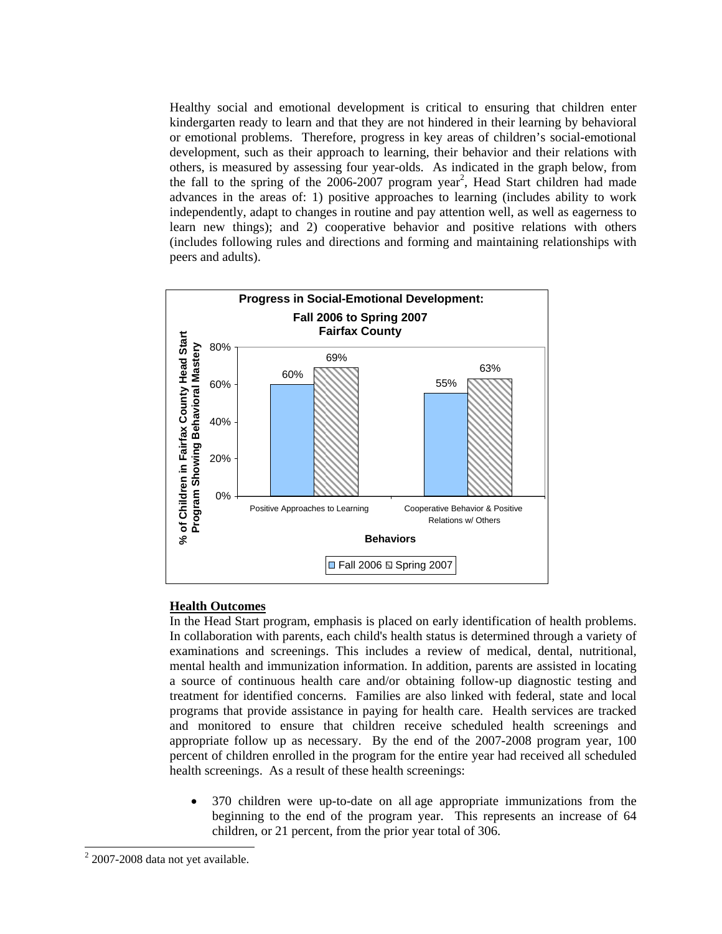Healthy social and emotional development is critical to ensuring that children enter kindergarten ready to learn and that they are not hindered in their learning by behavioral or emotional problems. Therefore, progress in key areas of children's social-emotional development, such as their approach to learning, their behavior and their relations with others, is measured by assessing four year-olds. As indicated in the graph below, from the fall to the spring of the  $2006-2007$  program year<sup>2</sup>, Head Start children had made advances in the areas of: 1) positive approaches to learning (includes ability to work independently, adapt to changes in routine and pay attention well, as well as eagerness to learn new things); and 2) cooperative behavior and positive relations with others (includes following rules and directions and forming and maintaining relationships with peers and adults).



## **Health Outcomes**

In the Head Start program, emphasis is placed on early identification of health problems. In collaboration with parents, each child's health status is determined through a variety of examinations and screenings. This includes a review of medical, dental, nutritional, mental health and immunization information. In addition, parents are assisted in locating a source of continuous health care and/or obtaining follow-up diagnostic testing and treatment for identified concerns. Families are also linked with federal, state and local programs that provide assistance in paying for health care. Health services are tracked and monitored to ensure that children receive scheduled health screenings and appropriate follow up as necessary. By the end of the 2007-2008 program year, 100 percent of children enrolled in the program for the entire year had received all scheduled health screenings. As a result of these health screenings:

• 370 children were up-to-date on all age appropriate immunizations from the beginning to the end of the program year. This represents an increase of 64 children, or 21 percent, from the prior year total of 306.

 $\overline{a}$ 

 $2$  2007-2008 data not yet available.